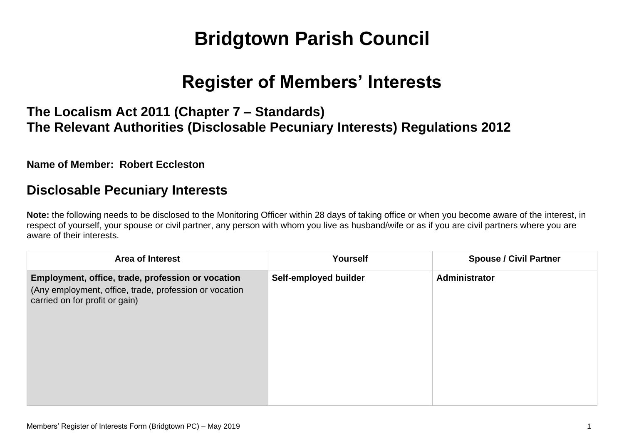# **Bridgtown Parish Council**

# **Register of Members' Interests**

### **The Localism Act 2011 (Chapter 7 – Standards) The Relevant Authorities (Disclosable Pecuniary Interests) Regulations 2012**

**Name of Member: Robert Eccleston**

#### **Disclosable Pecuniary Interests**

**Note:** the following needs to be disclosed to the Monitoring Officer within 28 days of taking office or when you become aware of the interest, in respect of yourself, your spouse or civil partner, any person with whom you live as husband/wife or as if you are civil partners where you are aware of their interests.

| <b>Area of Interest</b>                                                                                                                       | <b>Yourself</b>       | <b>Spouse / Civil Partner</b> |
|-----------------------------------------------------------------------------------------------------------------------------------------------|-----------------------|-------------------------------|
| Employment, office, trade, profession or vocation<br>(Any employment, office, trade, profession or vocation<br>carried on for profit or gain) | Self-employed builder | Administrator                 |
|                                                                                                                                               |                       |                               |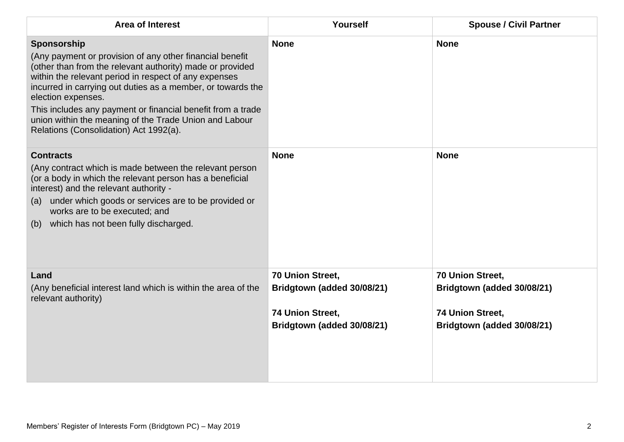| <b>Area of Interest</b>                                                                                                                                                                                                                                                                                                                                                                                                                               | Yourself                                                                                         | <b>Spouse / Civil Partner</b>                                                                    |
|-------------------------------------------------------------------------------------------------------------------------------------------------------------------------------------------------------------------------------------------------------------------------------------------------------------------------------------------------------------------------------------------------------------------------------------------------------|--------------------------------------------------------------------------------------------------|--------------------------------------------------------------------------------------------------|
| Sponsorship<br>(Any payment or provision of any other financial benefit<br>(other than from the relevant authority) made or provided<br>within the relevant period in respect of any expenses<br>incurred in carrying out duties as a member, or towards the<br>election expenses.<br>This includes any payment or financial benefit from a trade<br>union within the meaning of the Trade Union and Labour<br>Relations (Consolidation) Act 1992(a). | <b>None</b>                                                                                      | <b>None</b>                                                                                      |
| <b>Contracts</b><br>(Any contract which is made between the relevant person<br>(or a body in which the relevant person has a beneficial<br>interest) and the relevant authority -<br>(a) under which goods or services are to be provided or<br>works are to be executed; and<br>which has not been fully discharged.<br>(b)                                                                                                                          | <b>None</b>                                                                                      | <b>None</b>                                                                                      |
| Land<br>(Any beneficial interest land which is within the area of the<br>relevant authority)                                                                                                                                                                                                                                                                                                                                                          | 70 Union Street,<br>Bridgtown (added 30/08/21)<br>74 Union Street,<br>Bridgtown (added 30/08/21) | 70 Union Street,<br>Bridgtown (added 30/08/21)<br>74 Union Street,<br>Bridgtown (added 30/08/21) |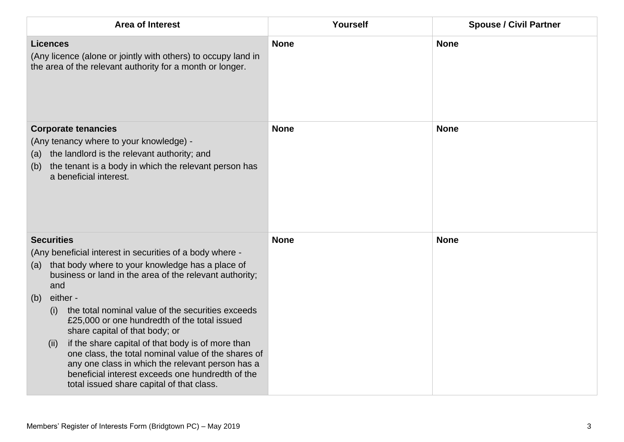| <b>Area of Interest</b>                                                                                                                                                                                                                                                                                                                                                                                                                                                                                                                                                                                                                              | Yourself    | <b>Spouse / Civil Partner</b> |
|------------------------------------------------------------------------------------------------------------------------------------------------------------------------------------------------------------------------------------------------------------------------------------------------------------------------------------------------------------------------------------------------------------------------------------------------------------------------------------------------------------------------------------------------------------------------------------------------------------------------------------------------------|-------------|-------------------------------|
| <b>Licences</b><br>(Any licence (alone or jointly with others) to occupy land in<br>the area of the relevant authority for a month or longer.                                                                                                                                                                                                                                                                                                                                                                                                                                                                                                        | <b>None</b> | <b>None</b>                   |
| <b>Corporate tenancies</b><br>(Any tenancy where to your knowledge) -<br>the landlord is the relevant authority; and<br>(a)<br>the tenant is a body in which the relevant person has<br>(b)<br>a beneficial interest.                                                                                                                                                                                                                                                                                                                                                                                                                                | <b>None</b> | <b>None</b>                   |
| <b>Securities</b><br>(Any beneficial interest in securities of a body where -<br>that body where to your knowledge has a place of<br>(a)<br>business or land in the area of the relevant authority;<br>and<br>either -<br>(b)<br>the total nominal value of the securities exceeds<br>(i)<br>£25,000 or one hundredth of the total issued<br>share capital of that body; or<br>if the share capital of that body is of more than<br>(ii)<br>one class, the total nominal value of the shares of<br>any one class in which the relevant person has a<br>beneficial interest exceeds one hundredth of the<br>total issued share capital of that class. | <b>None</b> | <b>None</b>                   |